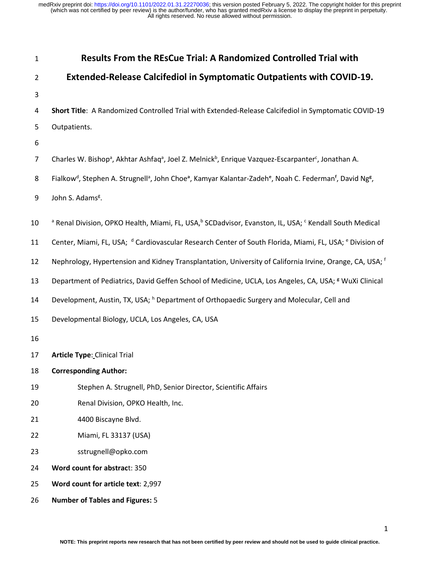| $\mathbf{1}$   | <b>Results From the REsCue Trial: A Randomized Controlled Trial with</b>                                                                                                         |  |  |  |  |
|----------------|----------------------------------------------------------------------------------------------------------------------------------------------------------------------------------|--|--|--|--|
| $\overline{2}$ | Extended-Release Calcifediol in Symptomatic Outpatients with COVID-19.                                                                                                           |  |  |  |  |
| 3              |                                                                                                                                                                                  |  |  |  |  |
| 4              | Short Title: A Randomized Controlled Trial with Extended-Release Calcifediol in Symptomatic COVID-19                                                                             |  |  |  |  |
| 5              | Outpatients.                                                                                                                                                                     |  |  |  |  |
| 6              |                                                                                                                                                                                  |  |  |  |  |
| 7              | Charles W. Bishop <sup>a</sup> , Akhtar Ashfaq <sup>a</sup> , Joel Z. Melnick <sup>b</sup> , Enrique Vazquez-Escarpanter <sup>c</sup> , Jonathan A.                              |  |  |  |  |
| 8              | Fialkow <sup>d</sup> , Stephen A. Strugnell <sup>a</sup> , John Choe <sup>a</sup> , Kamyar Kalantar-Zadeh <sup>e</sup> , Noah C. Federman <sup>f</sup> , David Ng <sup>g</sup> , |  |  |  |  |
| 9              | John S. Adams <sup>g</sup> .                                                                                                                                                     |  |  |  |  |
| 10             | <sup>a</sup> Renal Division, OPKO Health, Miami, FL, USA, <sup>b</sup> SCDadvisor, Evanston, IL, USA; <sup>c</sup> Kendall South Medical                                         |  |  |  |  |
| 11             | Center, Miami, FL, USA; <sup>d</sup> Cardiovascular Research Center of South Florida, Miami, FL, USA; e Division of                                                              |  |  |  |  |
| 12             | Nephrology, Hypertension and Kidney Transplantation, University of California Irvine, Orange, CA, USA; f                                                                         |  |  |  |  |
| 13             | Department of Pediatrics, David Geffen School of Medicine, UCLA, Los Angeles, CA, USA; <sup>8</sup> WuXi Clinical                                                                |  |  |  |  |
| 14             | Development, Austin, TX, USA; <sup>h</sup> Department of Orthopaedic Surgery and Molecular, Cell and                                                                             |  |  |  |  |
| 15             | Developmental Biology, UCLA, Los Angeles, CA, USA                                                                                                                                |  |  |  |  |
| 16             |                                                                                                                                                                                  |  |  |  |  |
| 17             | <b>Article Type: Clinical Trial</b>                                                                                                                                              |  |  |  |  |
| 18             | <b>Corresponding Author:</b>                                                                                                                                                     |  |  |  |  |
| 19             | Stephen A. Strugnell, PhD, Senior Director, Scientific Affairs                                                                                                                   |  |  |  |  |
| 20             | Renal Division, OPKO Health, Inc.                                                                                                                                                |  |  |  |  |
| 21             | 4400 Biscayne Blvd.                                                                                                                                                              |  |  |  |  |
| 22             | Miami, FL 33137 (USA)                                                                                                                                                            |  |  |  |  |
| 23             | sstrugnell@opko.com                                                                                                                                                              |  |  |  |  |
| 24             | Word count for abstract: 350                                                                                                                                                     |  |  |  |  |
| 25             | Word count for article text: 2,997                                                                                                                                               |  |  |  |  |
| 26             | <b>Number of Tables and Figures: 5</b>                                                                                                                                           |  |  |  |  |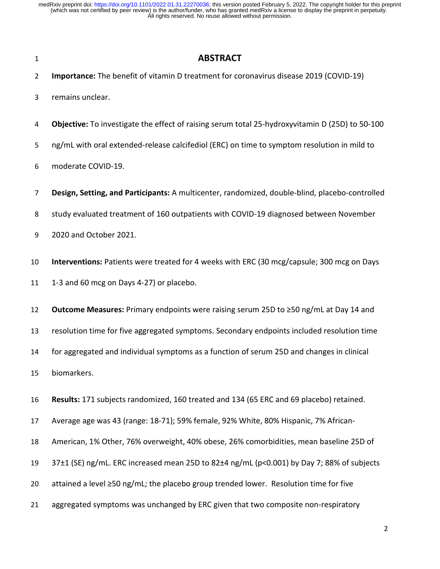| $\mathbf{1}$ | <b>ABSTRACT</b>                                                                                 |  |  |  |
|--------------|-------------------------------------------------------------------------------------------------|--|--|--|
| 2            | Importance: The benefit of vitamin D treatment for coronavirus disease 2019 (COVID-19)          |  |  |  |
| 3            | remains unclear.                                                                                |  |  |  |
| 4            | Objective: To investigate the effect of raising serum total 25-hydroxyvitamin D (25D) to 50-100 |  |  |  |
| 5            | ng/mL with oral extended-release calcifediol (ERC) on time to symptom resolution in mild to     |  |  |  |
| 6            | moderate COVID-19.                                                                              |  |  |  |
| 7            | Design, Setting, and Participants: A multicenter, randomized, double-blind, placebo-controlled  |  |  |  |
| 8            | study evaluated treatment of 160 outpatients with COVID-19 diagnosed between November           |  |  |  |
| 9            | 2020 and October 2021.                                                                          |  |  |  |
| 10           | Interventions: Patients were treated for 4 weeks with ERC (30 mcg/capsule; 300 mcg on Days      |  |  |  |
| 11           | 1-3 and 60 mcg on Days 4-27) or placebo.                                                        |  |  |  |
| 12           | Outcome Measures: Primary endpoints were raising serum 25D to ≥50 ng/mL at Day 14 and           |  |  |  |
| 13           | resolution time for five aggregated symptoms. Secondary endpoints included resolution time      |  |  |  |
| 14           | for aggregated and individual symptoms as a function of serum 25D and changes in clinical       |  |  |  |
| 15           | biomarkers.                                                                                     |  |  |  |
| 16           | Results: 171 subjects randomized, 160 treated and 134 (65 ERC and 69 placebo) retained.         |  |  |  |
| 17           | Average age was 43 (range: 18-71); 59% female, 92% White, 80% Hispanic, 7% African-             |  |  |  |
| 18           | American, 1% Other, 76% overweight, 40% obese, 26% comorbidities, mean baseline 25D of          |  |  |  |
| 19           | 37±1 (SE) ng/mL. ERC increased mean 25D to 82±4 ng/mL (p<0.001) by Day 7; 88% of subjects       |  |  |  |
| 20           | attained a level ≥50 ng/mL; the placebo group trended lower. Resolution time for five           |  |  |  |
| 21           | aggregated symptoms was unchanged by ERC given that two composite non-respiratory               |  |  |  |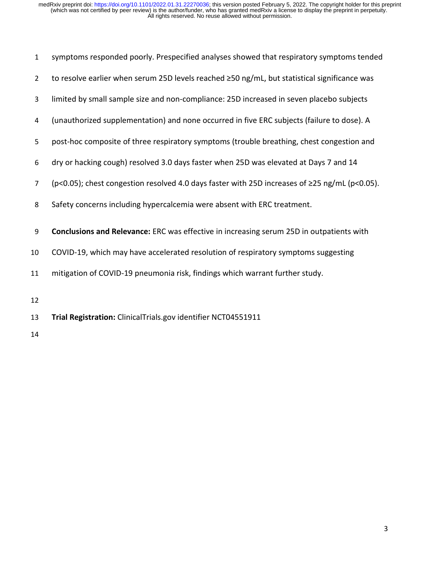| $\mathbf{1}$   | symptoms responded poorly. Prespecified analyses showed that respiratory symptoms tended      |  |  |  |
|----------------|-----------------------------------------------------------------------------------------------|--|--|--|
| $\overline{2}$ | to resolve earlier when serum 25D levels reached ≥50 ng/mL, but statistical significance was  |  |  |  |
| 3              | limited by small sample size and non-compliance: 25D increased in seven placebo subjects      |  |  |  |
| 4              | (unauthorized supplementation) and none occurred in five ERC subjects (failure to dose). A    |  |  |  |
| 5              | post-hoc composite of three respiratory symptoms (trouble breathing, chest congestion and     |  |  |  |
| 6              | dry or hacking cough) resolved 3.0 days faster when 25D was elevated at Days 7 and 14         |  |  |  |
| 7              | (p<0.05); chest congestion resolved 4.0 days faster with 25D increases of ≥25 ng/mL (p<0.05). |  |  |  |
| 8              | Safety concerns including hypercalcemia were absent with ERC treatment.                       |  |  |  |
| 9              | Conclusions and Relevance: ERC was effective in increasing serum 25D in outpatients with      |  |  |  |
| 10             | COVID-19, which may have accelerated resolution of respiratory symptoms suggesting            |  |  |  |
| 11             | mitigation of COVID-19 pneumonia risk, findings which warrant further study.                  |  |  |  |
| 12             |                                                                                               |  |  |  |
| 13             | Trial Registration: ClinicalTrials.gov identifier NCT04551911                                 |  |  |  |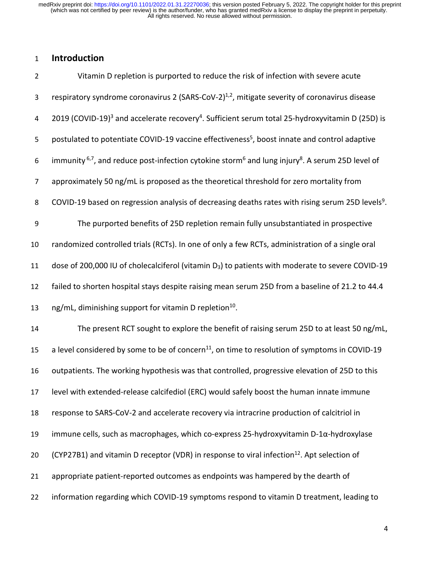### 1 **Introduction**

| $\overline{2}$ | Vitamin D repletion is purported to reduce the risk of infection with severe acute                                                  |
|----------------|-------------------------------------------------------------------------------------------------------------------------------------|
| 3              | respiratory syndrome coronavirus 2 (SARS-CoV-2) $^{1,2}$ , mitigate severity of coronavirus disease                                 |
| 4              | 2019 (COVID-19) <sup>3</sup> and accelerate recovery <sup>4</sup> . Sufficient serum total 25-hydroxyvitamin D (25D) is             |
| 5              | postulated to potentiate COVID-19 vaccine effectiveness <sup>5</sup> , boost innate and control adaptive                            |
| 6              | immunity <sup>6,7</sup> , and reduce post-infection cytokine storm <sup>6</sup> and lung injury <sup>8</sup> . A serum 25D level of |
| 7              | approximately 50 ng/mL is proposed as the theoretical threshold for zero mortality from                                             |
| 8              | COVID-19 based on regression analysis of decreasing deaths rates with rising serum 25D levels <sup>9</sup> .                        |
| 9              | The purported benefits of 25D repletion remain fully unsubstantiated in prospective                                                 |
| 10             | randomized controlled trials (RCTs). In one of only a few RCTs, administration of a single oral                                     |
| 11             | dose of 200,000 IU of cholecalciferol (vitamin D <sub>3</sub> ) to patients with moderate to severe COVID-19                        |
| 12             | failed to shorten hospital stays despite raising mean serum 25D from a baseline of 21.2 to 44.4                                     |
| 13             | ng/mL, diminishing support for vitamin D repletion <sup>10</sup> .                                                                  |
| 14             | The present RCT sought to explore the benefit of raising serum 25D to at least 50 ng/mL,                                            |
| 15             | a level considered by some to be of concern <sup>11</sup> , on time to resolution of symptoms in COVID-19                           |
| 16             | outpatients. The working hypothesis was that controlled, progressive elevation of 25D to this                                       |
| 17             | level with extended-release calcifediol (ERC) would safely boost the human innate immune                                            |
| 18             | response to SARS-CoV-2 and accelerate recovery via intracrine production of calcitriol in                                           |
| 19             | immune cells, such as macrophages, which co-express 25-hydroxyvitamin $D$ -1 $\alpha$ -hydroxylase                                  |
| 20             | (CYP27B1) and vitamin D receptor (VDR) in response to viral infection <sup>12</sup> . Apt selection of                              |
| 21             | appropriate patient-reported outcomes as endpoints was hampered by the dearth of                                                    |
| 22             | information regarding which COVID-19 symptoms respond to vitamin D treatment, leading to                                            |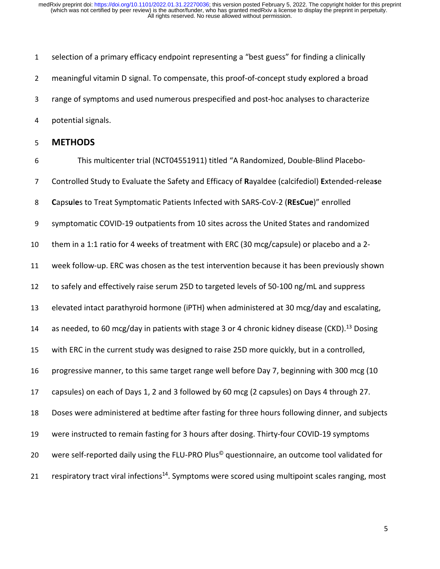1 selection of a primary efficacy endpoint representing a "best guess" for finding a clinically 2 meaningful vitamin D signal. To compensate, this proof-of-concept study explored a broad 3 range of symptoms and used numerous prespecified and post-hoc analyses to characterize 4 potential signals.

#### 5 **METHODS**

6 This multicenter trial (NCT04551911) titled "A Randomized, Double-Blind Placebo-7 Controlled Study to Evaluate the Safety and Efficacy of **R**ayaldee (calcifediol) **E**xtended-relea**s**e **C**aps**u**l**e**s to Treat Symptomatic Patients Infected with SARS-CoV-2 (**REsCue**)" enrolled 9 symptomatic COVID-19 outpatients from 10 sites across the United States and randomized them in a 1:1 ratio for 4 weeks of treatment with ERC (30 mcg/capsule) or placebo and a 2- week follow-up. ERC was chosen as the test intervention because it has been previously shown to safely and effectively raise serum 25D to targeted levels of 50-100 ng/mL and suppress elevated intact parathyroid hormone (iPTH) when administered at 30 mcg/day and escalating, 14 as needed, to 60 mcg/day in patients with stage 3 or 4 chronic kidney disease (CKD).<sup>13</sup> Dosing with ERC in the current study was designed to raise 25D more quickly, but in a controlled, progressive manner, to this same target range well before Day 7, beginning with 300 mcg (10 capsules) on each of Days 1, 2 and 3 followed by 60 mcg (2 capsules) on Days 4 through 27. Doses were administered at bedtime after fasting for three hours following dinner, and subjects were instructed to remain fasting for 3 hours after dosing. Thirty-four COVID-19 symptoms 20 were self-reported daily using the FLU-PRO Plus<sup>©</sup> questionnaire, an outcome tool validated for 21 respiratory tract viral infections<sup>14</sup>. Symptoms were scored using multipoint scales ranging, most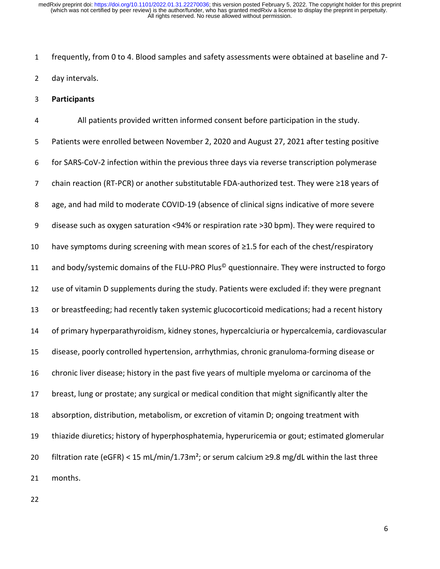1 frequently, from 0 to 4. Blood samples and safety assessments were obtained at baseline and 7- 2 day intervals.

3 **Participants**

4 All patients provided written informed consent before participation in the study. 5 Patients were enrolled between November 2, 2020 and August 27, 2021 after testing positive 6 for SARS-CoV-2 infection within the previous three days via reverse transcription polymerase 7 chain reaction (RT-PCR) or another substitutable FDA-authorized test. They were ≥18 years of 8 age, and had mild to moderate COVID-19 (absence of clinical signs indicative of more severe 9 disease such as oxygen saturation <94% or respiration rate >30 bpm). They were required to 10 have symptoms during screening with mean scores of ≥1.5 for each of the chest/respiratory and body/systemic domains of the FLU-PRO Plus<sup>®</sup> questionnaire. They were instructed to forgo 12 use of vitamin D supplements during the study. Patients were excluded if: they were pregnant 13 or breastfeeding; had recently taken systemic glucocorticoid medications; had a recent history 14 of primary hyperparathyroidism, kidney stones, hypercalciuria or hypercalcemia, cardiovascular 15 disease, poorly controlled hypertension, arrhythmias, chronic granuloma-forming disease or 16 chronic liver disease; history in the past five years of multiple myeloma or carcinoma of the 17 breast, lung or prostate; any surgical or medical condition that might significantly alter the 18 absorption, distribution, metabolism, or excretion of vitamin D; ongoing treatment with 19 thiazide diuretics; history of hyperphosphatemia, hyperuricemia or gout; estimated glomerular 20 filtration rate (eGFR) < 15 mL/min/1.73m<sup>2</sup>; or serum calcium  $\geq$ 9.8 mg/dL within the last three 21 months.

22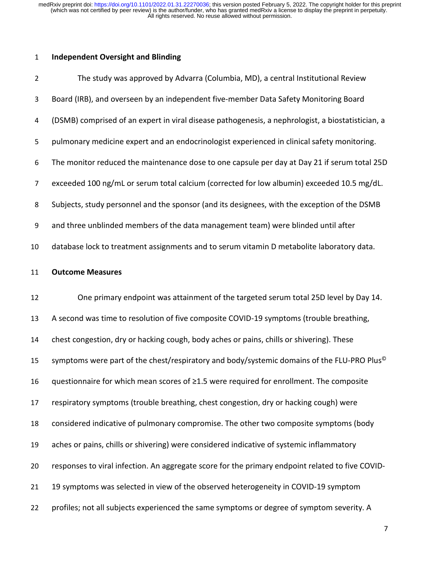### 1 **Independent Oversight and Blinding**

| $\overline{2}$ | The study was approved by Advarra (Columbia, MD), a central Institutional Review                       |  |  |  |
|----------------|--------------------------------------------------------------------------------------------------------|--|--|--|
| 3              | Board (IRB), and overseen by an independent five-member Data Safety Monitoring Board                   |  |  |  |
| 4              | (DSMB) comprised of an expert in viral disease pathogenesis, a nephrologist, a biostatistician, a      |  |  |  |
| 5              | pulmonary medicine expert and an endocrinologist experienced in clinical safety monitoring.            |  |  |  |
| 6              | The monitor reduced the maintenance dose to one capsule per day at Day 21 if serum total 25D           |  |  |  |
| 7              | exceeded 100 ng/mL or serum total calcium (corrected for low albumin) exceeded 10.5 mg/dL.             |  |  |  |
| 8              | Subjects, study personnel and the sponsor (and its designees, with the exception of the DSMB           |  |  |  |
| 9              | and three unblinded members of the data management team) were blinded until after                      |  |  |  |
| 10             | database lock to treatment assignments and to serum vitamin D metabolite laboratory data.              |  |  |  |
| 11             | <b>Outcome Measures</b>                                                                                |  |  |  |
| 12             | One primary endpoint was attainment of the targeted serum total 25D level by Day 14.                   |  |  |  |
| 13             | A second was time to resolution of five composite COVID-19 symptoms (trouble breathing,                |  |  |  |
| 14             | chest congestion, dry or hacking cough, body aches or pains, chills or shivering). These               |  |  |  |
| 15             | symptoms were part of the chest/respiratory and body/systemic domains of the FLU-PRO Plus <sup>©</sup> |  |  |  |
| 16             | questionnaire for which mean scores of ≥1.5 were required for enrollment. The composite                |  |  |  |
| 17             | respiratory symptoms (trouble breathing, chest congestion, dry or hacking cough) were                  |  |  |  |
| 18             | considered indicative of pulmonary compromise. The other two composite symptoms (body                  |  |  |  |
| 19             | aches or pains, chills or shivering) were considered indicative of systemic inflammatory               |  |  |  |
| 20             | responses to viral infection. An aggregate score for the primary endpoint related to five COVID-       |  |  |  |
| 21             | 19 symptoms was selected in view of the observed heterogeneity in COVID-19 symptom                     |  |  |  |
| 22             | profiles; not all subjects experienced the same symptoms or degree of symptom severity. A              |  |  |  |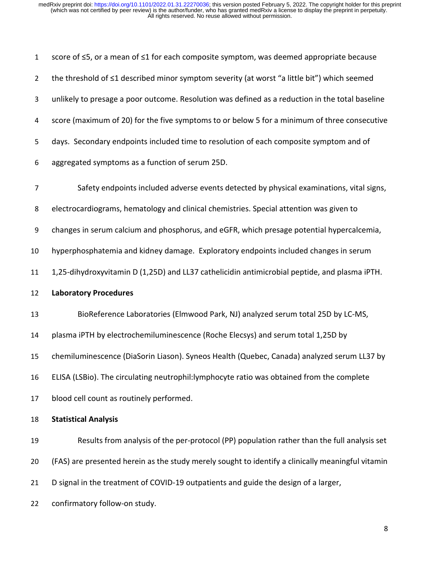| $\mathbf{1}$   | score of ≤5, or a mean of ≤1 for each composite symptom, was deemed appropriate because           |  |  |  |
|----------------|---------------------------------------------------------------------------------------------------|--|--|--|
| $\overline{2}$ | the threshold of ≤1 described minor symptom severity (at worst "a little bit") which seemed       |  |  |  |
| 3              | unlikely to presage a poor outcome. Resolution was defined as a reduction in the total baseline   |  |  |  |
| 4              | score (maximum of 20) for the five symptoms to or below 5 for a minimum of three consecutive      |  |  |  |
| 5              | days. Secondary endpoints included time to resolution of each composite symptom and of            |  |  |  |
| 6              | aggregated symptoms as a function of serum 25D.                                                   |  |  |  |
| $\overline{7}$ | Safety endpoints included adverse events detected by physical examinations, vital signs,          |  |  |  |
| 8              | electrocardiograms, hematology and clinical chemistries. Special attention was given to           |  |  |  |
| 9              | changes in serum calcium and phosphorus, and eGFR, which presage potential hypercalcemia,         |  |  |  |
| 10             | hyperphosphatemia and kidney damage. Exploratory endpoints included changes in serum              |  |  |  |
| 11             | 1,25-dihydroxyvitamin D (1,25D) and LL37 cathelicidin antimicrobial peptide, and plasma iPTH.     |  |  |  |
|                |                                                                                                   |  |  |  |
| 12             | <b>Laboratory Procedures</b>                                                                      |  |  |  |
| 13             | BioReference Laboratories (Elmwood Park, NJ) analyzed serum total 25D by LC-MS,                   |  |  |  |
| 14             | plasma iPTH by electrochemiluminescence (Roche Elecsys) and serum total 1,25D by                  |  |  |  |
| 15             | chemiluminescence (DiaSorin Liason). Syneos Health (Quebec, Canada) analyzed serum LL37 by        |  |  |  |
| 16             | ELISA (LSBio). The circulating neutrophil: lymphocyte ratio was obtained from the complete        |  |  |  |
| 17             | blood cell count as routinely performed.                                                          |  |  |  |
| 18             | <b>Statistical Analysis</b>                                                                       |  |  |  |
| 19             | Results from analysis of the per-protocol (PP) population rather than the full analysis set       |  |  |  |
| 20             | (FAS) are presented herein as the study merely sought to identify a clinically meaningful vitamin |  |  |  |
| 21             | D signal in the treatment of COVID-19 outpatients and guide the design of a larger,               |  |  |  |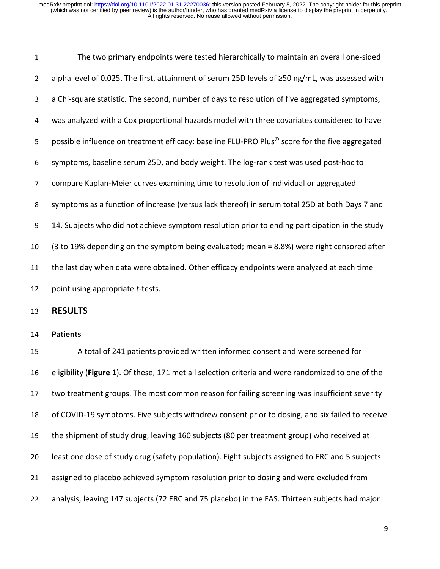| 1              | The two primary endpoints were tested hierarchically to maintain an overall one-sided                      |  |  |
|----------------|------------------------------------------------------------------------------------------------------------|--|--|
| $\overline{2}$ | alpha level of 0.025. The first, attainment of serum 25D levels of $\geq$ 50 ng/mL, was assessed with      |  |  |
| 3              | a Chi-square statistic. The second, number of days to resolution of five aggregated symptoms,              |  |  |
| 4              | was analyzed with a Cox proportional hazards model with three covariates considered to have                |  |  |
| 5              | possible influence on treatment efficacy: baseline FLU-PRO Plus <sup>©</sup> score for the five aggregated |  |  |
| 6              | symptoms, baseline serum 25D, and body weight. The log-rank test was used post-hoc to                      |  |  |
| $\overline{7}$ | compare Kaplan-Meier curves examining time to resolution of individual or aggregated                       |  |  |
| 8              | symptoms as a function of increase (versus lack thereof) in serum total 25D at both Days 7 and             |  |  |
| 9              | 14. Subjects who did not achieve symptom resolution prior to ending participation in the study             |  |  |
| 10             | (3 to 19% depending on the symptom being evaluated; mean = 8.8%) were right censored after                 |  |  |
| 11             | the last day when data were obtained. Other efficacy endpoints were analyzed at each time                  |  |  |
| 12             | point using appropriate t-tests.                                                                           |  |  |
|                |                                                                                                            |  |  |

13 **RESULTS**

14 **Patients**

 A total of 241 patients provided written informed consent and were screened for eligibility (**Figure 1**). Of these, 171 met all selection criteria and were randomized to one of the two treatment groups. The most common reason for failing screening was insufficient severity of COVID-19 symptoms. Five subjects withdrew consent prior to dosing, and six failed to receive the shipment of study drug, leaving 160 subjects (80 per treatment group) who received at least one dose of study drug (safety population). Eight subjects assigned to ERC and 5 subjects assigned to placebo achieved symptom resolution prior to dosing and were excluded from analysis, leaving 147 subjects (72 ERC and 75 placebo) in the FAS. Thirteen subjects had major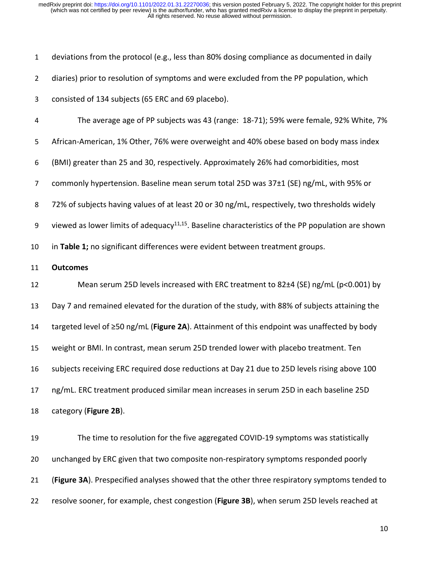| $\mathbf{1}$   | deviations from the protocol (e.g., less than 80% dosing compliance as documented in daily                    |  |  |
|----------------|---------------------------------------------------------------------------------------------------------------|--|--|
| $\overline{2}$ | diaries) prior to resolution of symptoms and were excluded from the PP population, which                      |  |  |
| 3              | consisted of 134 subjects (65 ERC and 69 placebo).                                                            |  |  |
| 4              | The average age of PP subjects was 43 (range: 18-71); 59% were female, 92% White, 7%                          |  |  |
| 5              | African-American, 1% Other, 76% were overweight and 40% obese based on body mass index                        |  |  |
| 6              | (BMI) greater than 25 and 30, respectively. Approximately 26% had comorbidities, most                         |  |  |
| 7              | commonly hypertension. Baseline mean serum total 25D was 37±1 (SE) ng/mL, with 95% or                         |  |  |
| 8              | 72% of subjects having values of at least 20 or 30 ng/mL, respectively, two thresholds widely                 |  |  |
| 9              | viewed as lower limits of adequacy <sup>11,15</sup> . Baseline characteristics of the PP population are shown |  |  |
| 10             | in Table 1; no significant differences were evident between treatment groups.                                 |  |  |
| 11             | <b>Outcomes</b>                                                                                               |  |  |
| 12             | Mean serum 25D levels increased with ERC treatment to 82±4 (SE) ng/mL (p<0.001) by                            |  |  |
| 13             | Day 7 and remained elevated for the duration of the study, with 88% of subjects attaining the                 |  |  |
| 14             | targeted level of $\geq$ 50 ng/mL (Figure 2A). Attainment of this endpoint was unaffected by body             |  |  |
| 15             | weight or BMI. In contrast, mean serum 25D trended lower with placebo treatment. Ten                          |  |  |
| 16             | subjects receiving ERC required dose reductions at Day 21 due to 25D levels rising above 100                  |  |  |
| 17             | ng/mL. ERC treatment produced similar mean increases in serum 25D in each baseline 25D                        |  |  |
| 18             | category (Figure 2B).                                                                                         |  |  |
| 19             | The time to resolution for the five aggregated COVID-19 symptoms was statistically                            |  |  |
| 20             | unchanged by ERC given that two composite non-respiratory symptoms responded poorly                           |  |  |
| 21             | (Figure 3A). Prespecified analyses showed that the other three respiratory symptoms tended to                 |  |  |
| 22             | resolve sooner, for example, chest congestion (Figure 3B), when serum 25D levels reached at                   |  |  |
|                |                                                                                                               |  |  |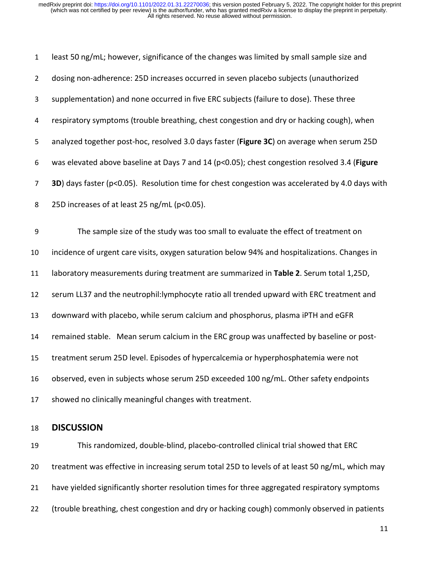| $\mathbf{1}$   | least 50 ng/mL; however, significance of the changes was limited by small sample size and       |  |  |  |
|----------------|-------------------------------------------------------------------------------------------------|--|--|--|
| $\overline{2}$ | dosing non-adherence: 25D increases occurred in seven placebo subjects (unauthorized            |  |  |  |
| 3              | supplementation) and none occurred in five ERC subjects (failure to dose). These three          |  |  |  |
| 4              | respiratory symptoms (trouble breathing, chest congestion and dry or hacking cough), when       |  |  |  |
| 5              | analyzed together post-hoc, resolved 3.0 days faster (Figure 3C) on average when serum 25D      |  |  |  |
| 6              | was elevated above baseline at Days 7 and 14 (p<0.05); chest congestion resolved 3.4 (Figure    |  |  |  |
| $\overline{7}$ | 3D) days faster (p<0.05). Resolution time for chest congestion was accelerated by 4.0 days with |  |  |  |
| 8              | 25D increases of at least 25 ng/mL (p<0.05).                                                    |  |  |  |
| 9              | The sample size of the study was too small to evaluate the effect of treatment on               |  |  |  |
| 10             | incidence of urgent care visits, oxygen saturation below 94% and hospitalizations. Changes in   |  |  |  |
| 11             | laboratory measurements during treatment are summarized in Table 2. Serum total 1,25D,          |  |  |  |
| 12             | serum LL37 and the neutrophil: lymphocyte ratio all trended upward with ERC treatment and       |  |  |  |
| 13             | downward with placebo, while serum calcium and phosphorus, plasma iPTH and eGFR                 |  |  |  |
| 14             | remained stable. Mean serum calcium in the ERC group was unaffected by baseline or post-        |  |  |  |
| 15             | treatment serum 25D level. Episodes of hypercalcemia or hyperphosphatemia were not              |  |  |  |
| 16             | observed, even in subjects whose serum 25D exceeded 100 ng/mL. Other safety endpoints           |  |  |  |
| 17             | showed no clinically meaningful changes with treatment.                                         |  |  |  |
| 18             | <b>DISCUSSION</b>                                                                               |  |  |  |

 This randomized, double-blind, placebo-controlled clinical trial showed that ERC treatment was effective in increasing serum total 25D to levels of at least 50 ng/mL, which may 21 have yielded significantly shorter resolution times for three aggregated respiratory symptoms (trouble breathing, chest congestion and dry or hacking cough) commonly observed in patients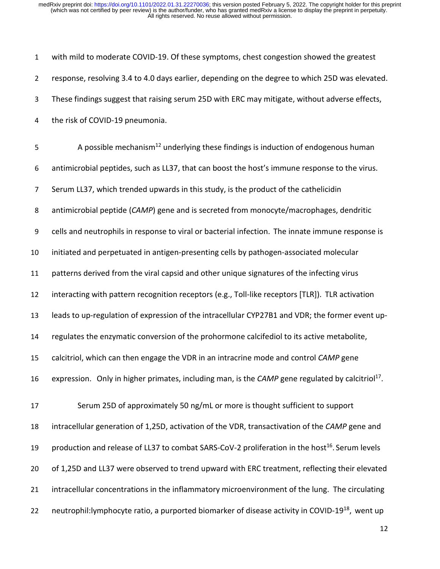| $\mathbf{1}$   | with mild to moderate COVID-19. Of these symptoms, chest congestion showed the greatest                      |  |  |
|----------------|--------------------------------------------------------------------------------------------------------------|--|--|
| $\overline{2}$ | response, resolving 3.4 to 4.0 days earlier, depending on the degree to which 25D was elevated.              |  |  |
| 3              | These findings suggest that raising serum 25D with ERC may mitigate, without adverse effects,                |  |  |
| 4              | the risk of COVID-19 pneumonia.                                                                              |  |  |
| 5              | A possible mechanism <sup>12</sup> underlying these findings is induction of endogenous human                |  |  |
| 6              | antimicrobial peptides, such as LL37, that can boost the host's immune response to the virus.                |  |  |
| $\overline{7}$ | Serum LL37, which trended upwards in this study, is the product of the cathelicidin                          |  |  |
| 8              | antimicrobial peptide (CAMP) gene and is secreted from monocyte/macrophages, dendritic                       |  |  |
| 9              | cells and neutrophils in response to viral or bacterial infection. The innate immune response is             |  |  |
| 10             | initiated and perpetuated in antigen-presenting cells by pathogen-associated molecular                       |  |  |
| 11             | patterns derived from the viral capsid and other unique signatures of the infecting virus                    |  |  |
| 12             | interacting with pattern recognition receptors (e.g., Toll-like receptors [TLR]). TLR activation             |  |  |
| 13             | leads to up-regulation of expression of the intracellular CYP27B1 and VDR; the former event up-              |  |  |
| 14             | regulates the enzymatic conversion of the prohormone calcifediol to its active metabolite,                   |  |  |
| 15             | calcitriol, which can then engage the VDR in an intracrine mode and control CAMP gene                        |  |  |
| 16             | expression. Only in higher primates, including man, is the CAMP gene regulated by calcitriol <sup>17</sup> . |  |  |
| 17             | Serum 25D of approximately 50 ng/mL or more is thought sufficient to support                                 |  |  |
| 18             | intracellular generation of 1,25D, activation of the VDR, transactivation of the CAMP gene and               |  |  |
| 19             | production and release of LL37 to combat SARS-CoV-2 proliferation in the host <sup>16</sup> . Serum levels   |  |  |
| 20             | of 1,25D and LL37 were observed to trend upward with ERC treatment, reflecting their elevated                |  |  |
| 21             | intracellular concentrations in the inflammatory microenvironment of the lung. The circulating               |  |  |
| 22             | neutrophil: lymphocyte ratio, a purported biomarker of disease activity in COVID-19 <sup>18</sup> , went up  |  |  |
|                |                                                                                                              |  |  |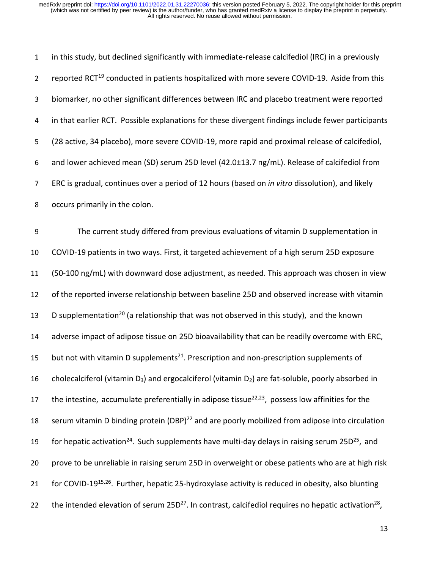| 1              | in this study, but declined significantly with immediate-release calcifediol (IRC) in a previously                          |  |  |  |
|----------------|-----------------------------------------------------------------------------------------------------------------------------|--|--|--|
| $\overline{2}$ | reported RCT <sup>19</sup> conducted in patients hospitalized with more severe COVID-19. Aside from this                    |  |  |  |
| 3              | biomarker, no other significant differences between IRC and placebo treatment were reported                                 |  |  |  |
| 4              | in that earlier RCT. Possible explanations for these divergent findings include fewer participants                          |  |  |  |
| 5              | (28 active, 34 placebo), more severe COVID-19, more rapid and proximal release of calcifediol,                              |  |  |  |
| 6              | and lower achieved mean (SD) serum 25D level (42.0±13.7 ng/mL). Release of calcifediol from                                 |  |  |  |
| $\overline{7}$ | ERC is gradual, continues over a period of 12 hours (based on in vitro dissolution), and likely                             |  |  |  |
| 8              | occurs primarily in the colon.                                                                                              |  |  |  |
| 9              | The current study differed from previous evaluations of vitamin D supplementation in                                        |  |  |  |
| 10             | COVID-19 patients in two ways. First, it targeted achievement of a high serum 25D exposure                                  |  |  |  |
| 11             | (50-100 ng/mL) with downward dose adjustment, as needed. This approach was chosen in view                                   |  |  |  |
| 12             | of the reported inverse relationship between baseline 25D and observed increase with vitamin                                |  |  |  |
| 13             | D supplementation <sup>20</sup> (a relationship that was not observed in this study), and the known                         |  |  |  |
| 14             | adverse impact of adipose tissue on 25D bioavailability that can be readily overcome with ERC,                              |  |  |  |
| 15             | but not with vitamin D supplements <sup>21</sup> . Prescription and non-prescription supplements of                         |  |  |  |
| 16             | cholecalciferol (vitamin D <sub>3</sub> ) and ergocalciferol (vitamin D <sub>2</sub> ) are fat-soluble, poorly absorbed in  |  |  |  |
| 17             | the intestine, accumulate preferentially in adipose tissue <sup>22,23</sup> , possess low affinities for the                |  |  |  |
| 18             | serum vitamin D binding protein (DBP) <sup>22</sup> and are poorly mobilized from adipose into circulation                  |  |  |  |
| 19             | for hepatic activation <sup>24</sup> . Such supplements have multi-day delays in raising serum 25 $D^{25}$ , and            |  |  |  |
| 20             | prove to be unreliable in raising serum 25D in overweight or obese patients who are at high risk                            |  |  |  |
| 21             | for COVID-19 <sup>15,26</sup> . Further, hepatic 25-hydroxylase activity is reduced in obesity, also blunting               |  |  |  |
| 22             | the intended elevation of serum 25D <sup>27</sup> . In contrast, calcifediol requires no hepatic activation <sup>28</sup> , |  |  |  |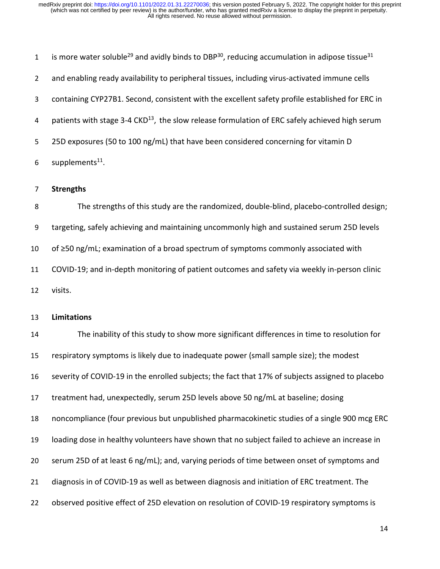1 is more water soluble<sup>29</sup> and avidly binds to DBP<sup>30</sup>, reducing accumulation in adipose tissue<sup>31</sup> 2 and enabling ready availability to peripheral tissues, including virus-activated immune cells 3 containing CYP27B1. Second, consistent with the excellent safety profile established for ERC in 4 patients with stage 3-4  $CKD<sup>13</sup>$ , the slow release formulation of ERC safely achieved high serum 5 25D exposures (50 to 100 ng/mL) that have been considered concerning for vitamin D 6 supplements.

#### **Strengths**

8 The strengths of this study are the randomized, double-blind, placebo-controlled design; 9 targeting, safely achieving and maintaining uncommonly high and sustained serum 25D levels of ≥50 ng/mL; examination of a broad spectrum of symptoms commonly associated with COVID-19; and in-depth monitoring of patient outcomes and safety via weekly in-person clinic visits.

#### **Limitations**

 The inability of this study to show more significant differences in time to resolution for respiratory symptoms is likely due to inadequate power (small sample size); the modest severity of COVID-19 in the enrolled subjects; the fact that 17% of subjects assigned to placebo treatment had, unexpectedly, serum 25D levels above 50 ng/mL at baseline; dosing noncompliance (four previous but unpublished pharmacokinetic studies of a single 900 mcg ERC loading dose in healthy volunteers have shown that no subject failed to achieve an increase in serum 25D of at least 6 ng/mL); and, varying periods of time between onset of symptoms and diagnosis in of COVID-19 as well as between diagnosis and initiation of ERC treatment. The observed positive effect of 25D elevation on resolution of COVID-19 respiratory symptoms is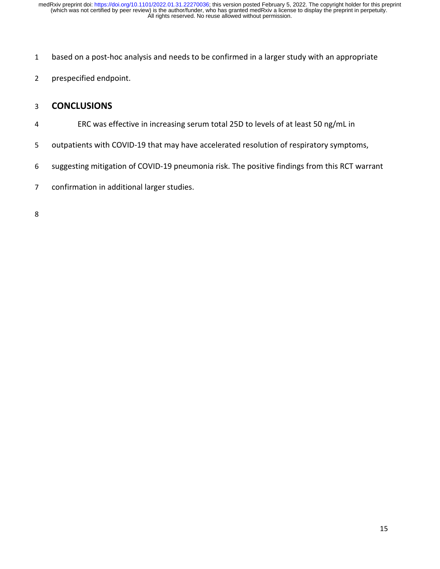- 1 based on a post-hoc analysis and needs to be confirmed in a larger study with an appropriate
- 2 prespecified endpoint.

#### 3 **CONCLUSIONS**

- 4 ERC was effective in increasing serum total 25D to levels of at least 50 ng/mL in
- 5 outpatients with COVID-19 that may have accelerated resolution of respiratory symptoms,
- 6 suggesting mitigation of COVID-19 pneumonia risk. The positive findings from this RCT warrant
- 7 confirmation in additional larger studies.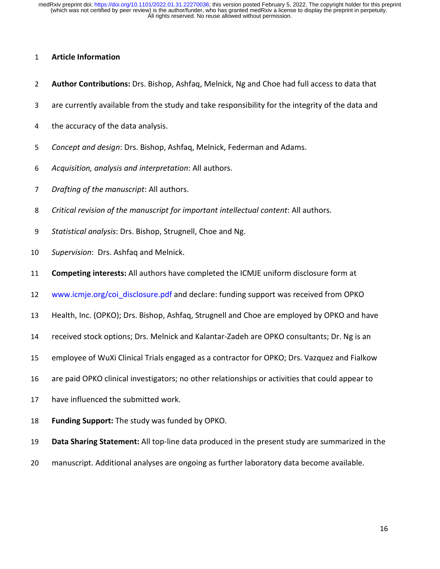#### **Article Information**

- **Author Contributions:** Drs. Bishop, Ashfaq, Melnick, Ng and Choe had full access to data that
- 3 are currently available from the study and take responsibility for the integrity of the data and
- 4 the accuracy of the data analysis.
- *Concept and design*: Drs. Bishop, Ashfaq, Melnick, Federman and Adams.
- *Acquisition, analysis and interpretation*: All authors.
- *Drafting of the manuscript*: All authors.
- *Critical revision of the manuscript for important intellectual content*: All authors.
- *Statistical analysis*: Drs. Bishop, Strugnell, Choe and Ng.
- *Supervision*: Drs. Ashfaq and Melnick.
- **Competing interests:** All authors have completed the ICMJE uniform disclosure form at
- [www.icmje.org/coi\\_disclosure.pdf](http://www.icmje.org/coi_disclosure.pdf) and declare: funding support was received from OPKO
- Health, Inc. (OPKO); Drs. Bishop, Ashfaq, Strugnell and Choe are employed by OPKO and have
- received stock options; Drs. Melnick and Kalantar-Zadeh are OPKO consultants; Dr. Ng is an
- employee of WuXi Clinical Trials engaged as a contractor for OPKO; Drs. Vazquez and Fialkow
- are paid OPKO clinical investigators; no other relationships or activities that could appear to
- have influenced the submitted work.
- **Funding Support:** The study was funded by OPKO.
- **Data Sharing Statement:** All top-line data produced in the present study are summarized in the
- manuscript. Additional analyses are ongoing as further laboratory data become available.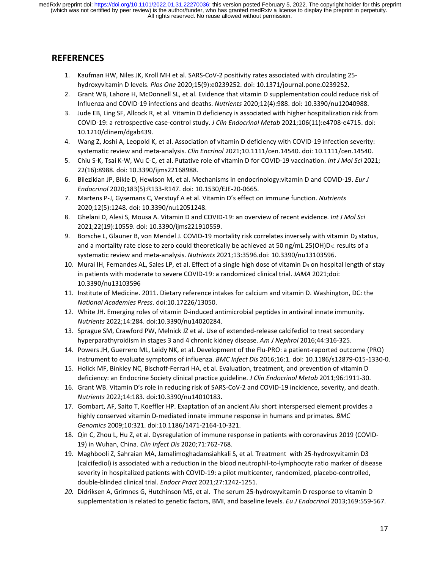### **REFERENCES**

- 1. Kaufman HW, Niles JK, Kroll MH et al. SARS-CoV-2 positivity rates associated with circulating 25 hydroxyvitamin D levels. *Plos One* 2020;15(9):e0239252. doi: 10.1371/journal.pone.0239252.
- 2. Grant WB, Lahore H, McDonnell SL, et al. Evidence that vitamin D supplementation could reduce risk of Influenza and COVID-19 infections and deaths. *Nutrients* 2020;12(4):988. doi: 10.3390/nu12040988.
- 3. Jude EB, Ling SF, Allcock R, et al. Vitamin D deficiency is associated with higher hospitalization risk from COVID-19: a retrospective case-control study. *J Clin Endocrinol Metab* 2021;106(11):e4708-e4715. doi: 10.1210/clinem/dgab439.
- 4. Wang Z, Joshi A, Leopold K, et al. Association of vitamin D deficiency with COVID-19 infection severity: systematic review and meta-analysis. *Clin Encrinol* 2021;10.1111/cen.14540. doi: 10.1111/cen.14540.
- 5. Chiu S-K, Tsai K-W, Wu C-C, et al. Putative role of vitamin D for COVID-19 vaccination. *Int J Mol Sci* 2021; 22(16):8988. doi: 10.3390/ijms22168988.
- 6. Bilezikian JP, Bikle D, Hewison M, et al. Mechanisms in endocrinology:vitamin D and COVID-19. *Eur J Endocrinol* 2020;183(5):R133-R147. doi: 10.1530/EJE-20-0665.
- 7. Martens P-J, Gysemans C, Verstuyf A et al. Vitamin D's effect on immune function. *Nutrients* 2020;12(5):1248. doi: 10.3390/nu12051248.
- 8. Ghelani D, Alesi S, Mousa A. Vitamin D and COVID-19: an overview of recent evidence. *Int J Mol Sci* 2021;22(19):10559. doi: 10.3390/ijms221910559.
- 9. Borsche L, Glauner B, von Mendel J. COVID-19 mortality risk correlates inversely with vitamin D<sub>3</sub> status, and a mortality rate close to zero could theoretically be achieved at 50 ng/mL 25(OH)D<sub>3</sub>: results of a systematic review and meta-analysis. *Nutrients* 2021;13:3596.doi: 10.3390/nu13103596.
- 10. Murai IH, Fernandes AL, Sales LP, et al. Effect of a single high dose of vitamin  $D_3$  on hospital length of stay in patients with moderate to severe COVID-19: a randomized clinical trial. *JAMA* 2021;doi: 10.3390/nu13103596
- 11. Institute of Medicine. 2011. Dietary reference intakes for calcium and vitamin D. Washington, DC: the *National Academies Press*. doi:10.17226/13050.
- 12. White JH. Emerging roles of vitamin D-induced antimicrobial peptides in antiviral innate immunity. *Nutrients* 2022;14:284. doi:10.3390/nu14020284.
- 13. Sprague SM, Crawford PW, Melnick JZ et al. Use of extended-release calcifediol to treat secondary hyperparathyroidism in stages 3 and 4 chronic kidney disease. *Am J Nephrol* 2016;44:316-325.
- 14. Powers JH, Guerrero ML, Leidy NK, et al. Development of the Flu-PRO: a patient-reported outcome (PRO) instrument to evaluate symptoms of influenza. *BMC Infect Dis* 2016;16:1. doi: 10.1186/s12879-015-1330-0.
- 15. Holick MF, Binkley NC, Bischoff-Ferrari HA, et al. Evaluation, treatment, and prevention of vitamin D deficiency: an Endocrine Society clinical practice guideline. *J Clin Endocrinol Metab* 2011;96:1911-30.
- 16. Grant WB. Vitamin D's role in reducing risk of SARS-CoV-2 and COVID-19 incidence, severity, and death. *Nutrients* 2022;14:183. doi:10.3390/nu14010183.
- 17. Gombart, AF, Saito T, Koeffler HP. Exaptation of an ancient Alu short interspersed element provides a highly conserved vitamin D-mediated innate immune response in humans and primates. *BMC Genomics* 2009;10:321[. doi:10.1186/1471-2164-10-321.](https://doi.org/10.1186/1471-2164-10-321)
- 18. Qin C, Zhou L, Hu Z, et al. Dysregulation of immune response in patients with coronavirus 2019 (COVID-19) in Wuhan, China. *Clin Infect Dis* 2020;71:762-768.
- 19. Maghbooli Z, Sahraian MA, Jamalimoghadamsiahkali S, et al. Treatment with 25-hydroxyvitamin D3 (calcifediol) is associated with a reduction in the blood neutrophil-to-lymphocyte ratio marker of disease severity in hospitalized patients with COVID-19: a pilot multicenter, randomized, placebo-controlled, double-blinded clinical trial. *Endocr Pract* 2021;27:1242-1251.
- *20.* Didriksen A, Grimnes G, Hutchinson MS, et al. The serum 25-hydroxyvitamin D response to vitamin D supplementation is related to genetic factors, BMI, and baseline levels. *Eu J Endocrinol* 2013;169:559-567.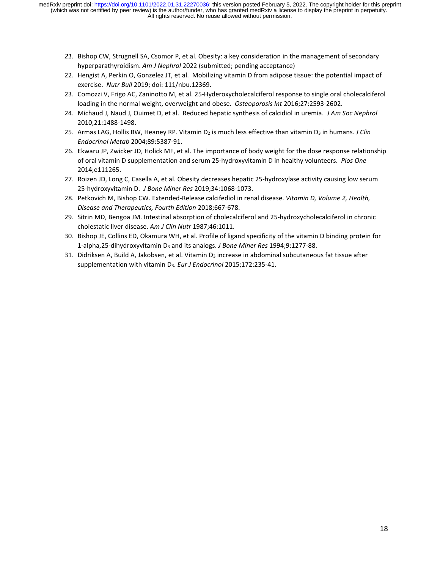- *21.* Bishop CW, Strugnell SA, Csomor P, et al. Obesity: a key consideration in the management of secondary hyperparathyroidism. *Am J Nephrol* 2022 (submitted; pending acceptance)
- 22. Hengist A, Perkin O, Gonzelez JT, et al. Mobilizing vitamin D from adipose tissue: the potential impact of exercise. *Nutr Bull* 2019; doi: 111/nbu.12369.
- 23. Comozzi V, Frigo AC, Zaninotto M, et al. 25-Hyderoxycholecalciferol response to single oral cholecalciferol loading in the normal weight, overweight and obese. *Osteoporosis Int* 2016;27:2593-2602.
- 24. Michaud J, Naud J, Ouimet D, et al. Reduced hepatic synthesis of calcidiol in uremia. *J Am Soc Nephrol* 2010;21:1488-1498.
- 25. Armas LAG, Hollis BW, Heaney RP. Vitamin D<sub>2</sub> is much less effective than vitamin D<sub>3</sub> in humans. *J Clin Endocrinol Metab* 2004;89:5387-91.
- 26. Ekwaru JP, Zwicker JD, Holick MF, et al. The importance of body weight for the dose response relationship of oral vitamin D supplementation and serum 25-hydroxyvitamin D in healthy volunteers. *Plos One* 2014;e111265.
- 27. Roizen JD, Long C, Casella A, et al. Obesity decreases hepatic 25-hydroxylase activity causing low serum 25-hydroxyvitamin D. *J Bone Miner Res* 2019;34:1068-1073.
- 28. Petkovich M, Bishop CW. Extended-Release calcifediol in renal disease. *Vitamin D, Volume 2, Health, Disease and Therapeutics, Fourth Edition* 2018;667-678.
- 29. Sitrin MD, Bengoa JM. Intestinal absorption of cholecalciferol and 25-hydroxycholecalciferol in chronic cholestatic liver disease. *Am J Clin Nutr* 1987;46:1011.
- 30. Bishop JE, Collins ED, Okamura WH, et al. Profile of ligand specificity of the vitamin D binding protein for 1-alpha,25-dihydroxyvitamin D3 and its analogs. *J Bone Miner Res* 1994;9:1277-88.
- 31. Didriksen A, Build A, Jakobsen, et al. Vitamin D<sub>3</sub> increase in abdominal subcutaneous fat tissue after supplementation with vitamin D3. *Eur J Endocrinol* 2015;172:235-41.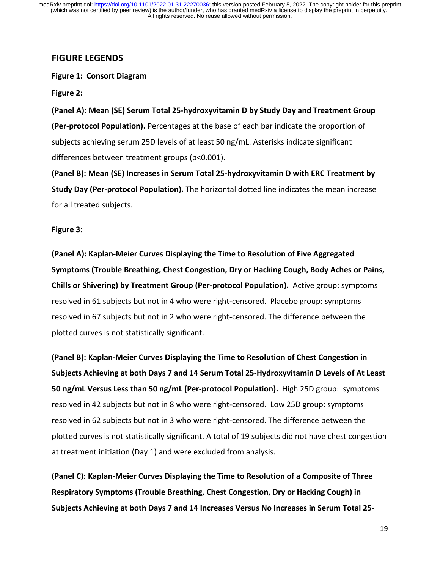#### **FIGURE LEGENDS**

**Figure 1: Consort Diagram**

**Figure 2:** 

**(Panel A): Mean (SE) Serum Total 25-hydroxyvitamin D by Study Day and Treatment Group (Per-protocol Population).** Percentages at the base of each bar indicate the proportion of subjects achieving serum 25D levels of at least 50 ng/mL. Asterisks indicate significant differences between treatment groups (p<0.001).

**(Panel B): Mean (SE) Increases in Serum Total 25-hydroxyvitamin D with ERC Treatment by Study Day (Per-protocol Population).** The horizontal dotted line indicates the mean increase for all treated subjects.

**Figure 3:** 

**(Panel A): Kaplan-Meier Curves Displaying the Time to Resolution of Five Aggregated Symptoms (Trouble Breathing, Chest Congestion, Dry or Hacking Cough, Body Aches or Pains, Chills or Shivering) by Treatment Group (Per-protocol Population).** Active group: symptoms resolved in 61 subjects but not in 4 who were right-censored. Placebo group: symptoms resolved in 67 subjects but not in 2 who were right-censored. The difference between the plotted curves is not statistically significant.

**(Panel B): Kaplan-Meier Curves Displaying the Time to Resolution of Chest Congestion in Subjects Achieving at both Days 7 and 14 Serum Total 25-Hydroxyvitamin D Levels of At Least 50 ng/mL Versus Less than 50 ng/mL (Per-protocol Population).** High 25D group: symptoms resolved in 42 subjects but not in 8 who were right-censored. Low 25D group: symptoms resolved in 62 subjects but not in 3 who were right-censored. The difference between the plotted curves is not statistically significant. A total of 19 subjects did not have chest congestion at treatment initiation (Day 1) and were excluded from analysis.

**(Panel C): Kaplan-Meier Curves Displaying the Time to Resolution of a Composite of Three Respiratory Symptoms (Trouble Breathing, Chest Congestion, Dry or Hacking Cough) in Subjects Achieving at both Days 7 and 14 Increases Versus No Increases in Serum Total 25-**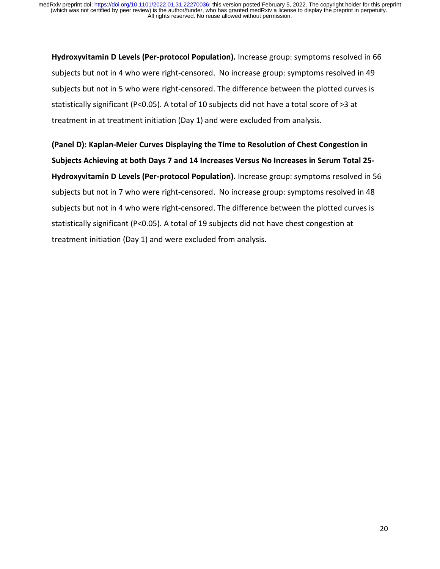**Hydroxyvitamin D Levels (Per-protocol Population).** Increase group: symptoms resolved in 66 subjects but not in 4 who were right-censored. No increase group: symptoms resolved in 49 subjects but not in 5 who were right-censored. The difference between the plotted curves is statistically significant (P<0.05). A total of 10 subjects did not have a total score of >3 at treatment in at treatment initiation (Day 1) and were excluded from analysis.

**(Panel D): Kaplan-Meier Curves Displaying the Time to Resolution of Chest Congestion in Subjects Achieving at both Days 7 and 14 Increases Versus No Increases in Serum Total 25- Hydroxyvitamin D Levels (Per-protocol Population).** Increase group: symptoms resolved in 56 subjects but not in 7 who were right-censored. No increase group: symptoms resolved in 48 subjects but not in 4 who were right-censored. The difference between the plotted curves is statistically significant (P<0.05). A total of 19 subjects did not have chest congestion at treatment initiation (Day 1) and were excluded from analysis.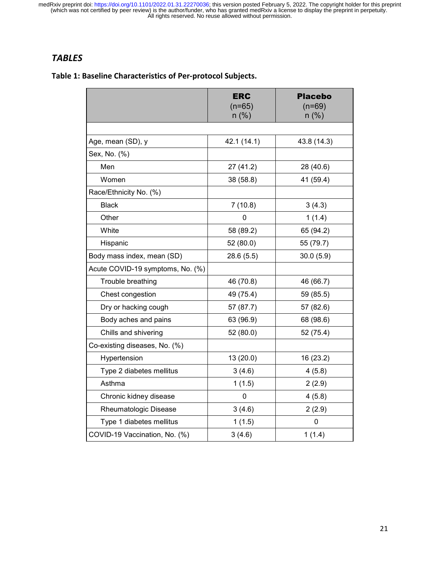#### *TABLES*

#### **Table 1: Baseline Characteristics of Per-protocol Subjects.**

|                                  | <b>ERC</b><br>$(n=65)$<br>$n$ (%) | <b>Placebo</b><br>$(n=69)$<br>$n$ (%) |
|----------------------------------|-----------------------------------|---------------------------------------|
|                                  |                                   |                                       |
| Age, mean (SD), y                | 42.1 (14.1)                       | 43.8 (14.3)                           |
| Sex, No. (%)                     |                                   |                                       |
| Men                              | 27 (41.2)                         | 28 (40.6)                             |
| Women                            | 38 (58.8)                         | 41 (59.4)                             |
| Race/Ethnicity No. (%)           |                                   |                                       |
| <b>Black</b>                     | 7(10.8)                           | 3(4.3)                                |
| Other                            | 0                                 | 1(1.4)                                |
| White                            | 58 (89.2)                         | 65 (94.2)                             |
| Hispanic                         | 52 (80.0)                         | 55 (79.7)                             |
| Body mass index, mean (SD)       | 28.6(5.5)                         | 30.0(5.9)                             |
| Acute COVID-19 symptoms, No. (%) |                                   |                                       |
| Trouble breathing                | 46 (70.8)                         | 46 (66.7)                             |
| Chest congestion                 | 49 (75.4)                         | 59 (85.5)                             |
| Dry or hacking cough             | 57 (87.7)                         | 57 (82.6)                             |
| Body aches and pains             | 63 (96.9)                         | 68 (98.6)                             |
| Chills and shivering             | 52 (80.0)                         | 52 (75.4)                             |
| Co-existing diseases, No. (%)    |                                   |                                       |
| Hypertension                     | 13 (20.0)                         | 16 (23.2)                             |
| Type 2 diabetes mellitus         | 3(4.6)                            | 4(5.8)                                |
| Asthma                           | 1(1.5)                            | 2(2.9)                                |
| Chronic kidney disease           | 0                                 | 4(5.8)                                |
| Rheumatologic Disease            | 3(4.6)                            | 2(2.9)                                |
| Type 1 diabetes mellitus         | 1(1.5)                            | 0                                     |
| COVID-19 Vaccination, No. (%)    | 3(4.6)                            | 1(1.4)                                |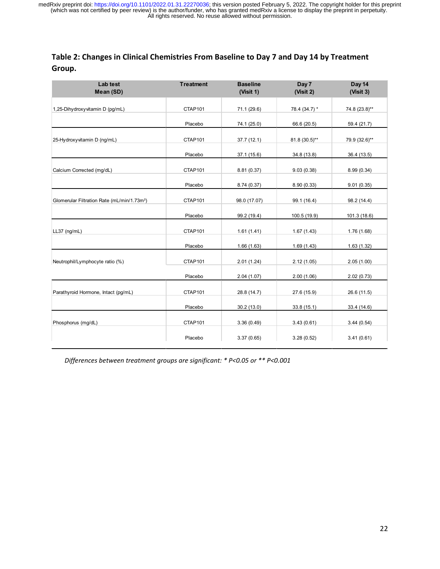### **Table 2: Changes in Clinical Chemistries From Baseline to Day 7 and Day 14 by Treatment Group.**

| Lab test<br>Mean (SD)                                   | <b>Treatment</b> | <b>Baseline</b><br>(Visit 1) | Day 7<br>(Visit 2) | Day 14<br>(Visit 3) |
|---------------------------------------------------------|------------------|------------------------------|--------------------|---------------------|
| 1,25-Dihydroxyvitamin D (pg/mL)                         | CTAP101          | 71.1 (29.6)                  | 78.4 (34.7) *      | 74.8 (23.8)**       |
|                                                         | Placebo          | 74.1 (25.0)                  | 66.6 (20.5)        | 59.4 (21.7)         |
| 25-Hydroxyvitamin D (ng/mL)                             | CTAP101          | 37.7(12.1)                   | 81.8 (30.5)**      | 79.9 (32.6)**       |
|                                                         | Placebo          | 37.1 (15.6)                  | 34.8 (13.8)        | 36.4 (13.5)         |
| Calcium Corrected (mg/dL)                               | CTAP101          | 8.81(0.37)                   | 9.03(0.38)         | 8.99 (0.34)         |
|                                                         | Placebo          | 8.74(0.37)                   | 8.90 (0.33)        | 9.01(0.35)          |
| Glomerular Filtration Rate (mL/min/1.73m <sup>2</sup> ) | CTAP101          | 98.0 (17.07)                 | 99.1 (16.4)        | 98.2 (14.4)         |
|                                                         | Placebo          | 99.2 (19.4)                  | 100.5 (19.9)       | 101.3 (18.6)        |
| LL37 (ng/mL)                                            | CTAP101          | 1.61(1.41)                   | 1.67(1.43)         | 1.76(1.68)          |
|                                                         | Placebo          | 1.66(1.63)                   | 1.69(1.43)         | 1.63(1.32)          |
| Neutrophil/Lymphocyte ratio (%)                         | CTAP101          | 2.01(1.24)                   | 2.12(1.05)         | 2.05(1.00)          |
|                                                         | Placebo          | 2.04(1.07)                   | 2.00(1.06)         | 2.02(0.73)          |
| Parathyroid Hormone, Intact (pg/mL)                     | CTAP101          | 28.8 (14.7)                  | 27.6 (15.9)        | 26.6 (11.5)         |
|                                                         | Placebo          | 30.2(13.0)                   | 33.8 (15.1)        | 33.4 (14.6)         |
| Phosphorus (mg/dL)                                      | CTAP101          | 3.36(0.49)                   | 3.43(0.61)         | 3.44(0.54)          |
|                                                         | Placebo          | 3.37(0.65)                   | 3.28(0.52)         | 3.41(0.61)          |

*Differences between treatment groups are significant: \* P<0.05 or \*\* P<0.001*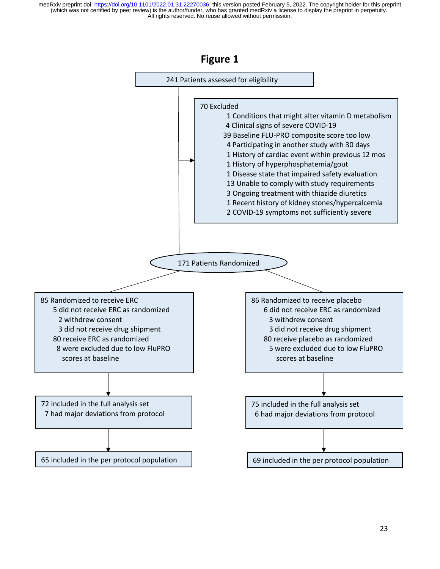### **Figure 1**

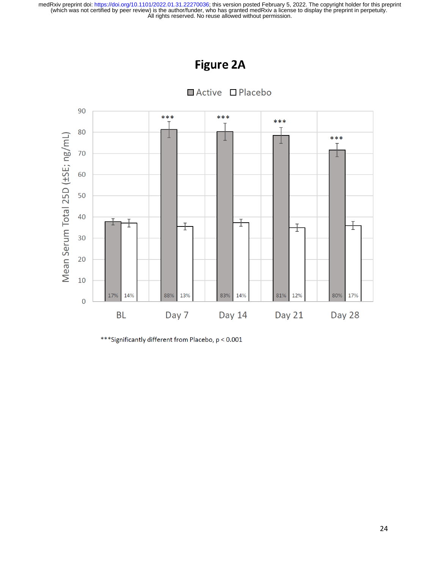# **Figure 2A**



Active **OPlacebo** 

\*\*\* Significantly different from Placebo, p < 0.001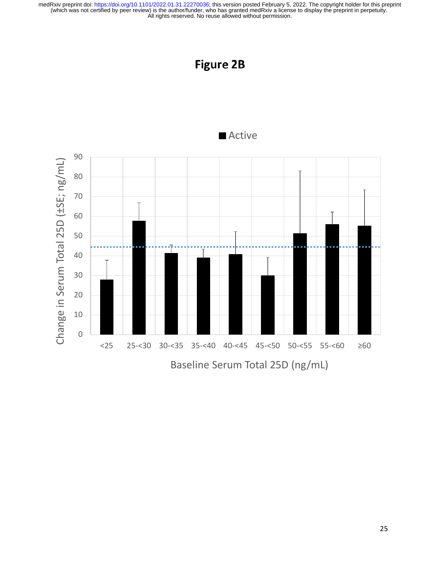

### **Figure 2B**

25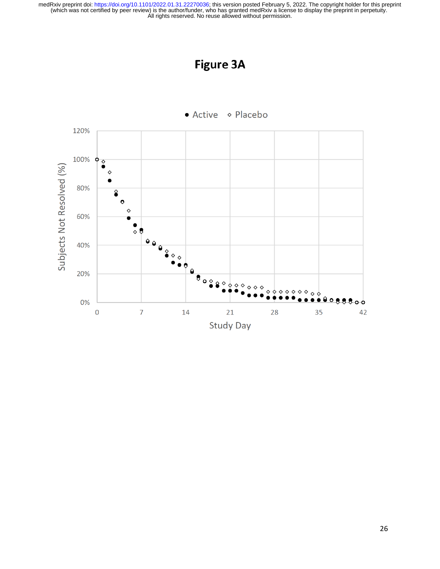# **Figure 3A**



#### ◇ Placebo • Active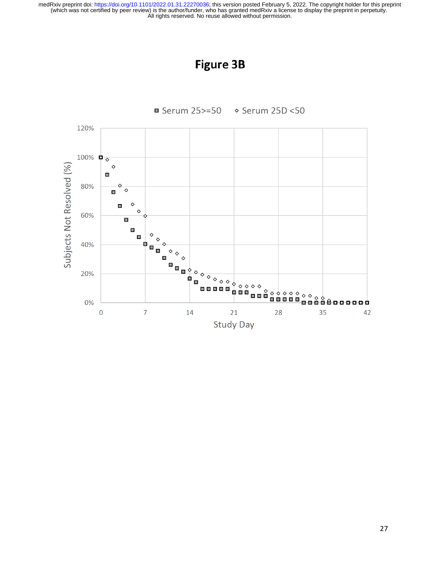### **Figure 3B**



■ Serum 25>=50 ◇ Serum 25D <50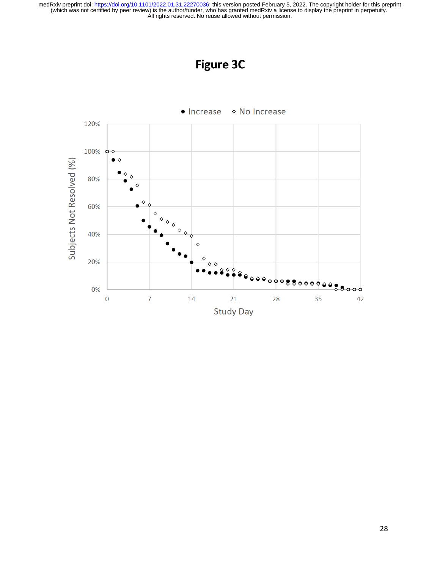# **Figure 3C**